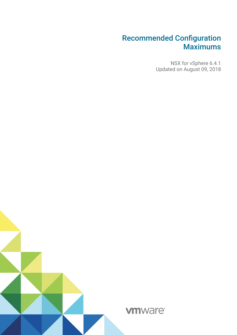NSX for vSphere 6.4.1 Updated on August 09, 2018

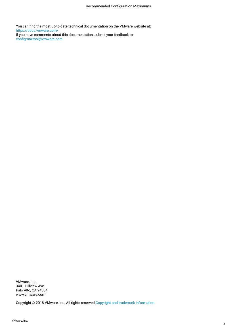You can fnd the most up-to-date technical documentation on the VMware website at: https://docs.vmware.com/ If you have comments about this documentation, submit your feedback to confgmaxtool@vmware.com

VMware, Inc. 3401 Hillview Ave. Palo Alto, CA 94304 www.vmware.com

Copyright © 2018 VMware, Inc. All rights reserved[.Copyright and trademark information.](http://pubs.vmware.com/copyright-trademark.html)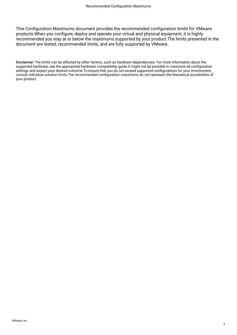This Configuration Maximums document provides the recommended configuration limits for VMware products.When you confgure, deploy and operate your virtual and physical equipment, it is highly recommended you stay at or below the maximums supported by your product.The limits presented in the document are tested, recommended limits, and are fully supported by VMware.

Disclaimer: The limits can be affected by other factors, such as hardware dependencies. For more information about the supported hardware, see the appropriate hardware compatibility guide.It might not be possible to maximize all confguration settings and expect your desired outcome.To ensure that you do not exceed supported confgurations for your environment, consult individual solution limits.The recommended confguration maximums do not represent the theoretical possibilities of your product.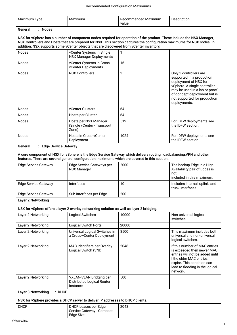| Maximum Type                                                                                                                                                                                                                                                                                                                                | Maximum                                                                                       | Recommended Maximum<br>value                                                                                         | Description                                                                                                                                                                                                                    |  |
|---------------------------------------------------------------------------------------------------------------------------------------------------------------------------------------------------------------------------------------------------------------------------------------------------------------------------------------------|-----------------------------------------------------------------------------------------------|----------------------------------------------------------------------------------------------------------------------|--------------------------------------------------------------------------------------------------------------------------------------------------------------------------------------------------------------------------------|--|
| General<br>: Nodes                                                                                                                                                                                                                                                                                                                          |                                                                                               |                                                                                                                      |                                                                                                                                                                                                                                |  |
| NSX for vSphere has a number of component nodes required for operation of the product. These include the NSX Manager,<br>NSX Controllers and Hosts that are prepared for NSX. This section captures the configuration maximums for NSX nodes. In<br>addition, NSX supports some vCenter objects that are discovered from vCenter inventory. |                                                                                               |                                                                                                                      |                                                                                                                                                                                                                                |  |
| <b>Nodes</b>                                                                                                                                                                                                                                                                                                                                | vCenter Systems in Single<br><b>NSX Manager Deployments</b>                                   | 1                                                                                                                    |                                                                                                                                                                                                                                |  |
| <b>Nodes</b>                                                                                                                                                                                                                                                                                                                                | vCenter Systems in Cross-<br>vCenter Deployments                                              | 16                                                                                                                   |                                                                                                                                                                                                                                |  |
| <b>Nodes</b>                                                                                                                                                                                                                                                                                                                                | <b>NSX Controllers</b>                                                                        | 3                                                                                                                    | Only 3 controllers are<br>supported in a production<br>deployment of NSX for<br>vSphere. A single controller<br>may be used in a lab or proof-<br>of-concept deployment but is<br>not supported for production<br>deployments. |  |
| <b>Nodes</b>                                                                                                                                                                                                                                                                                                                                | vCenter Clusters                                                                              | 64                                                                                                                   |                                                                                                                                                                                                                                |  |
| <b>Nodes</b>                                                                                                                                                                                                                                                                                                                                | Hosts per Cluster                                                                             | 64                                                                                                                   |                                                                                                                                                                                                                                |  |
| <b>Nodes</b>                                                                                                                                                                                                                                                                                                                                | Hosts per NSX Manager<br>(Single vCenter - Transport<br>Zone)                                 | 512                                                                                                                  | For IDFW deployments see<br>the IDFW section.                                                                                                                                                                                  |  |
| <b>Nodes</b>                                                                                                                                                                                                                                                                                                                                | Hosts in Cross-vCenter<br>Deployment                                                          | 1024                                                                                                                 | For IDFW deployments see<br>the IDFW section.                                                                                                                                                                                  |  |
| General<br>: Edge Service Gateway                                                                                                                                                                                                                                                                                                           |                                                                                               |                                                                                                                      |                                                                                                                                                                                                                                |  |
|                                                                                                                                                                                                                                                                                                                                             | features. There are several general configuration maximums which are covered in this section. | A core component of NSX for vSphere is the Edge Service Gateway which delivers routing, loadbalancing, VPN and other |                                                                                                                                                                                                                                |  |
| <b>Edge Service Gateway</b>                                                                                                                                                                                                                                                                                                                 | Edge Service Gateways per<br><b>NSX Manager</b>                                               | 2000                                                                                                                 | The backup Edge in a High-<br>Availability pair of Edges is<br>not<br>included in this maximum.                                                                                                                                |  |
| <b>Edge Service Gateway</b>                                                                                                                                                                                                                                                                                                                 | Interfaces                                                                                    | 10                                                                                                                   | Includes internal, uplink, and<br>trunk interfaces.                                                                                                                                                                            |  |
| <b>Edge Service Gateway</b>                                                                                                                                                                                                                                                                                                                 | Sub-interfaces per Edge                                                                       | 200                                                                                                                  |                                                                                                                                                                                                                                |  |
| Layer 2 Networking                                                                                                                                                                                                                                                                                                                          |                                                                                               |                                                                                                                      |                                                                                                                                                                                                                                |  |
|                                                                                                                                                                                                                                                                                                                                             | NSX for vSphere offers a layer 2 overlay networking solution as well as layer 2 bridging.     |                                                                                                                      |                                                                                                                                                                                                                                |  |
| Layer 2 Networking                                                                                                                                                                                                                                                                                                                          | <b>Logical Switches</b>                                                                       | 10000                                                                                                                | Non-universal logical<br>switches.                                                                                                                                                                                             |  |
| Layer 2 Networking                                                                                                                                                                                                                                                                                                                          | Logical Switch Ports                                                                          | 20000                                                                                                                |                                                                                                                                                                                                                                |  |
| Layer 2 Networking                                                                                                                                                                                                                                                                                                                          | Universal Logical Switches in                                                                 | 8500                                                                                                                 | This maximum includes both                                                                                                                                                                                                     |  |
|                                                                                                                                                                                                                                                                                                                                             | a Cross-vCenter Deployment                                                                    |                                                                                                                      | universal and non-universal<br>logical switches.                                                                                                                                                                               |  |
| Layer 2 Networking                                                                                                                                                                                                                                                                                                                          | MAC Identifiers per Overlay<br>Logical Switch (VNI)                                           | 2048                                                                                                                 | If this number of MAC entries<br>is exceeded then newer MAC<br>entries will not be added until<br>I the older MAC entries<br>expire. This condition can<br>lead to flooding in the logical<br>network.                         |  |
| Layer 2 Networking                                                                                                                                                                                                                                                                                                                          | <b>VXLAN-VLAN Bridging per</b><br>Distributed Logical Router<br>Instance                      | 500                                                                                                                  |                                                                                                                                                                                                                                |  |
| : DHCP<br>Layer 3 Networking                                                                                                                                                                                                                                                                                                                |                                                                                               |                                                                                                                      |                                                                                                                                                                                                                                |  |
| NSX for vSphere provides a DHCP server to deliver IP addresses to DHCP clients.                                                                                                                                                                                                                                                             |                                                                                               |                                                                                                                      |                                                                                                                                                                                                                                |  |
| <b>DHCP</b>                                                                                                                                                                                                                                                                                                                                 | DHCP Leases per Edge<br>Service Gateway - Compact<br>Edge Size                                | 2048                                                                                                                 |                                                                                                                                                                                                                                |  |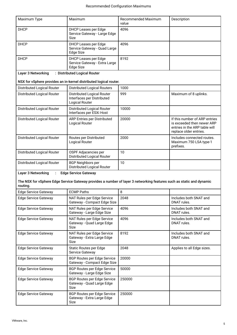| Maximum Type                                                        | Maximum                                                                                                              | Recommended Maximum<br>value | Description                                                                                                            |  |
|---------------------------------------------------------------------|----------------------------------------------------------------------------------------------------------------------|------------------------------|------------------------------------------------------------------------------------------------------------------------|--|
| <b>DHCP</b>                                                         | DHCP Leases per Edge<br>Service Gateway - Large Edge<br><b>Size</b>                                                  | 4096                         |                                                                                                                        |  |
| <b>DHCP</b>                                                         | <b>DHCP Leases per Edge</b><br>Service Gateway - Quad Large<br>Edge Size                                             | 4096                         |                                                                                                                        |  |
| <b>DHCP</b>                                                         | <b>DHCP Leases per Edge</b><br>Service Gateway - Extra Large<br>Edge Size                                            | 8192                         |                                                                                                                        |  |
| Layer 3 Networking                                                  | : Distributed Logical Router                                                                                         |                              |                                                                                                                        |  |
|                                                                     | NSX for vSphere provides an in-kernel distributed logical router.                                                    |                              |                                                                                                                        |  |
| Distributed Logical Router                                          | <b>Distributed Logical Routers</b>                                                                                   | 1000                         |                                                                                                                        |  |
| Distributed Logical Router                                          | <b>Distributed Logical Router</b><br>Interfaces per Distributed<br><b>Logical Router</b>                             | 999                          | Maximum of 8 uplinks.                                                                                                  |  |
| Distributed Logical Router                                          | Distributed Logical Router<br>Interfaces per ESXi Host                                                               | 10000                        |                                                                                                                        |  |
| Distributed Logical Router                                          | ARP Entries per Distributed<br>Logical Router                                                                        | 20000                        | If this number of ARP entries<br>is exceeded then newer ARP<br>entries in the ARP table will<br>replace older entries. |  |
| Distributed Logical Router                                          | Routes per Distributed<br>Logical Router                                                                             | 2000                         | Includes connected routes.<br>Maximum 750 LSA type-1<br>prefixes.                                                      |  |
| Distributed Logical Router                                          | OSPF Adjacencies per<br>Distributed Logical Router                                                                   | 10                           |                                                                                                                        |  |
| Distributed Logical Router                                          | <b>BGP Neighbors per</b><br><b>Distributed Logical Router</b>                                                        | 10                           |                                                                                                                        |  |
| Layer 3 Networking<br><b>Edge Service Gateway</b><br>$\ddot{\cdot}$ |                                                                                                                      |                              |                                                                                                                        |  |
| routing.                                                            | The NSX for vSphere Edge Service Gateway provides a number of layer 3 networking features such as static and dynamic |                              |                                                                                                                        |  |
| <b>Edge Service Gateway</b>                                         | <b>ECMP Paths</b>                                                                                                    | 8                            |                                                                                                                        |  |
| <b>Edge Service Gateway</b>                                         | NAT Rules per Edge Service<br>Gateway - Compact Edge Size                                                            | 2048                         | Includes both SNAT and<br>DNAT rules.                                                                                  |  |
| <b>Edge Service Gateway</b>                                         | NAT Rules per Edge Service<br>Gateway - Large Edge Size                                                              | 4096                         | Includes both SNAT and<br>DNAT rules.                                                                                  |  |
| <b>Edge Service Gateway</b>                                         | NAT Rules per Edge Service<br>Gateway - Quad Large Edge<br>Size                                                      | 4096                         | Includes both SNAT and<br>DNAT rules.                                                                                  |  |
| <b>Edge Service Gateway</b>                                         | NAT Rules per Edge Service<br>Gateway - Extra Large Edge<br>Size                                                     | 8192                         | Includes both SNAT and<br>DNAT rules.                                                                                  |  |
| <b>Edge Service Gateway</b>                                         | <b>Static Routes per Edge</b><br>Service Gateway                                                                     | 2048                         | Applies to all Edge sizes.                                                                                             |  |
| <b>Edge Service Gateway</b>                                         | <b>BGP Routes per Edge Service</b><br>Gateway - Compact Edge Size                                                    | 20000                        |                                                                                                                        |  |
| <b>Edge Service Gateway</b>                                         | <b>BGP Routes per Edge Service</b><br>Gateway - Large Edge Size                                                      | 50000                        |                                                                                                                        |  |
| <b>Edge Service Gateway</b>                                         | <b>BGP Routes per Edge Service</b><br>Gateway - Quad Large Edge<br>Size                                              | 250000                       |                                                                                                                        |  |
| <b>Edge Service Gateway</b>                                         | <b>BGP Routes per Edge Service</b><br>Gateway - Extra Large Edge<br>Size                                             | 250000                       |                                                                                                                        |  |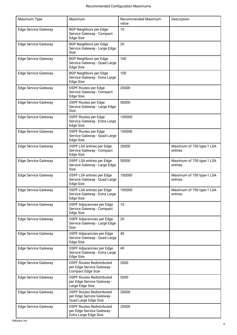| Maximum Type                | Maximum                                                                                    | <b>Recommended Maximum</b><br>value | Description                           |
|-----------------------------|--------------------------------------------------------------------------------------------|-------------------------------------|---------------------------------------|
| <b>Edge Service Gateway</b> | <b>BGP Neighbors per Edge</b><br>Service Gateway - Compact<br>Edge Size                    | 10                                  |                                       |
| <b>Edge Service Gateway</b> | <b>BGP Neighbors per Edge</b><br>Service Gateway - Large Edge<br>Size                      | 20                                  |                                       |
| <b>Edge Service Gateway</b> | <b>BGP Neighbors per Edge</b><br>Service Gateway - Quad Large<br>Edge Size                 | 100                                 |                                       |
| <b>Edge Service Gateway</b> | <b>BGP Neighbors per Edge</b><br>Service Gateway - Extra Large<br>Edge Size                | 100                                 |                                       |
| Edge Service Gateway        | OSPF Routes per Edge<br>Service Gateway - Compact<br>Edge Size                             | 20000                               |                                       |
| <b>Edge Service Gateway</b> | OSPF Routes per Edge<br>Service Gateway - Large Edge<br><b>Size</b>                        | 50000                               |                                       |
| <b>Edge Service Gateway</b> | OSPF Routes per Edge<br>Service Gateway - Extra Large<br>Edge Size                         | 100000                              |                                       |
| <b>Edge Service Gateway</b> | OSPF Routes per Edge<br>Service Gateway - Quad Large<br><b>Edge Size</b>                   | 100000                              |                                       |
| <b>Edge Service Gateway</b> | OSPF LSA entries per Edge<br>Service Gateway - Compact<br>Edge Size                        | 20000                               | Maximum of 750 type-1 LSA<br>entries. |
| <b>Edge Service Gateway</b> | OSPF LSA entries per Edge<br>Service Gateway - Large Edge<br><b>Size</b>                   | 50000                               | Maximum of 750 type-1 LSA<br>entries. |
| <b>Edge Service Gateway</b> | OSPF LSA entries per Edge<br>Service Gateway - Quad Large<br><b>Edge Size</b>              | 100000                              | Maximum of 750 type-1 LSA<br>entries. |
| <b>Edge Service Gateway</b> | OSPF LSA entries per Edge<br>Service Gateway - Extra Large<br>Edge Size                    | 100000                              | Maximum of 750 type-1 LSA<br>entries. |
| <b>Edge Service Gateway</b> | OSPF Adjacencies per Edge<br>Service Gateway - Compact<br>Edge Size                        | 10                                  |                                       |
| <b>Edge Service Gateway</b> | OSPF Adjacencies per Edge<br>Service Gateway - Large Edge<br>Size                          | 20                                  |                                       |
| <b>Edge Service Gateway</b> | OSPF Adjacencies per Edge<br>Service Gateway - Quad Large<br>Edge Size                     | 40                                  |                                       |
| <b>Edge Service Gateway</b> | OSPF Adjacencies per Edge<br>Service Gateway - Extra Large<br>Edge Size                    | 40                                  |                                       |
| <b>Edge Service Gateway</b> | <b>OSPF Routes Redistributed</b><br>per Edge Service Gateway -<br><b>Compact Edge Size</b> | 2000                                |                                       |
| <b>Edge Service Gateway</b> | <b>OSPF Routes Redistributed</b><br>per Edge Service Gateway -<br>Large Edge Size          | 5000                                |                                       |
| <b>Edge Service Gateway</b> | <b>OSPF Routes Redistributed</b><br>per Edge Service Gateway -<br>Quad Large Edge Size     | 20000                               |                                       |
| <b>Edge Service Gateway</b> | <b>OSPF Routes Redistributed</b><br>per Edge Service Gateway -<br>Extra Large Edge Size    | 20000                               |                                       |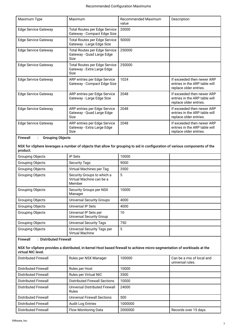| Maximum Type                         | Maximum                                                                   | Recommended Maximum<br>value | Description                                                                           |
|--------------------------------------|---------------------------------------------------------------------------|------------------------------|---------------------------------------------------------------------------------------|
| <b>Edge Service Gateway</b>          | <b>Total Routes per Edge Service</b><br>Gateway - Compact Edge Size       | 20000                        |                                                                                       |
| <b>Edge Service Gateway</b>          | <b>Total Routes per Edge Service</b><br>Gateway - Large Edge Size         | 50000                        |                                                                                       |
| <b>Edge Service Gateway</b>          | <b>Total Routes per Edge Service</b><br>Gateway - Quad Large Edge<br>Size | 250000                       |                                                                                       |
| Edge Service Gateway                 | Total Routes per Edge Service<br>Gateway - Extra Large Edge<br>Size       | 250000                       |                                                                                       |
| <b>Edge Service Gateway</b>          | ARP entries per Edge Service<br>Gateway - Compact Edge Size               | 1024                         | If exceeded then newer ARP<br>entries in the ARP table will<br>replace older entries. |
| Edge Service Gateway                 | ARP entries per Edge Service<br>Gateway - Large Edge Size                 | 2048                         | If exceeded then newer ARP<br>entries in the ARP table will<br>replace older entries. |
| <b>Edge Service Gateway</b>          | ARP entries per Edge Service<br>Gateway - Quad Large Edge<br>Size         | 2048                         | If exceeded then newer ARP<br>entries in the ARP table will<br>replace older entries. |
| <b>Edge Service Gateway</b>          | ARP entries per Edge Service<br>Gateway - Extra Large Edge<br>Size        | 2048                         | If exceeded then newer ARP<br>entries in the ARP table will<br>replace older entries. |
| $\Gamma$ issusall a Casunina Ohiasta |                                                                           |                              |                                                                                       |

Firewall : Grouping Objects

NSX for vSphere leverages a number of objects that allow for grouping to aid in confguration of various components of the product.

| <b>Grouping Objects</b> | <b>IP Sets</b>                                                   | 10000 |  |
|-------------------------|------------------------------------------------------------------|-------|--|
| Grouping Objects        | <b>Security Tags</b>                                             | 9000  |  |
| Grouping Objects        | Virtual Machines per Tag                                         | 3500  |  |
| <b>Grouping Objects</b> | Security Groups to which a<br>Virtual Machine can be a<br>Member | 5     |  |
| <b>Grouping Objects</b> | Security Groups per NSX<br>Manager                               | 10000 |  |
| <b>Grouping Objects</b> | <b>Universal Security Groups</b>                                 | 4000  |  |
| <b>Grouping Objects</b> | Universal IP Sets                                                | 4000  |  |
| Grouping Objects        | Universal IP Sets per<br><b>Universal Security Group</b>         | 10    |  |
| <b>Grouping Objects</b> | <b>Universal Security Tags</b>                                   | 750   |  |
| <b>Grouping Objects</b> | Universal Security Tags per<br><b>Virtual Machine</b>            | 5     |  |

Firewall : Distributed Firewall

### NSX for vSphere provides a distributed, in-kernel Host based frewall to achieve micro-segmentation of workloads at the virtual NIC level.

| Distributed Firewall        | Rules per NSX Manager                   | 100000  | Can be a mix of local and<br>universal rules. |
|-----------------------------|-----------------------------------------|---------|-----------------------------------------------|
| Distributed Firewall        | Rules per Host                          | 10000   |                                               |
| <b>Distributed Firewall</b> | Rules per Virtual NIC                   | 3500    |                                               |
| <b>Distributed Firewall</b> | <b>Distributed Firewall Sections</b>    | 10000   |                                               |
| Distributed Firewall        | Universal Distributed Firewall<br>Rules | 24000   |                                               |
| <b>Distributed Firewall</b> | Universal Firewall Sections             | 500     |                                               |
| <b>Distributed Firewall</b> | <b>Audit Log Entries</b>                | 1000000 |                                               |
| <b>Distributed Firewall</b> | <b>Flow Monitoring Data</b>             | 2000000 | Records over 15 days.                         |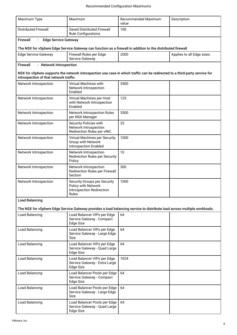| Maximum Type                                                                                                             | Maximum                                                                                                                     | <b>Recommended Maximum</b><br>value | Description                |  |
|--------------------------------------------------------------------------------------------------------------------------|-----------------------------------------------------------------------------------------------------------------------------|-------------------------------------|----------------------------|--|
| <b>Distributed Firewall</b>                                                                                              | <b>Saved Distributed Firewall</b><br><b>Rule Configurations</b>                                                             | 100                                 |                            |  |
| <b>Firewall</b><br><b>Edge Service Gateway</b>                                                                           |                                                                                                                             |                                     |                            |  |
|                                                                                                                          | The NSX for vSphere Edge Service Gateway can function as a firewall in addition to the distributed firewall.                |                                     |                            |  |
| <b>Edge Service Gateway</b>                                                                                              | Firewall Rules per Edge<br>Service Gateway                                                                                  | 2000                                | Applies to all Edge sizes. |  |
| <b>Firewall</b><br>: Network Introspection                                                                               |                                                                                                                             |                                     |                            |  |
| introspection of that network traffic.                                                                                   | NSX for vSphere supports the network introspection use case in which traffic can be redirected to a third-party service for |                                     |                            |  |
| Network Introspection                                                                                                    | Virtual Machines with<br>Network Introspection<br>Enabled                                                                   | 3500                                |                            |  |
| Network Introspection                                                                                                    | Virtual Machines per Host<br>with Network Introspection<br>Enabled                                                          | 125                                 |                            |  |
| Network Introspection                                                                                                    | <b>Network Introspection Rules</b><br>per NSX Manager                                                                       | 3500                                |                            |  |
| Network Introspection                                                                                                    | Security Policies with<br>Network Introspection<br>Redirection Rules per vNIC                                               | 25                                  |                            |  |
| Network Introspection                                                                                                    | Virtual Machines per Security<br>Group with Network<br><b>Introspection Enabled</b>                                         | 1000                                |                            |  |
| Network Introspection                                                                                                    | Network Introspection<br><b>Redirection Rules per Security</b><br>Policy                                                    | 10                                  |                            |  |
| Network Introspection                                                                                                    | Network Introspection<br><b>Redirection Rules per Firewall</b><br>Section                                                   | 300                                 |                            |  |
| Network Introspection                                                                                                    | Security Groups per Security<br>Policy with Network<br>Introspection Redirection<br>Rules                                   | 1000                                |                            |  |
| <b>Load Balancing</b>                                                                                                    |                                                                                                                             |                                     |                            |  |
| The NSX for vSphere Edge Service Gateway provides a load balancing service to distribute load across multiple workloads. |                                                                                                                             |                                     |                            |  |
| Load Balancing                                                                                                           | Load Balancer VIPs per Edge<br>Service Gateway - Compact<br>Edge Size                                                       | 64                                  |                            |  |
| Load Balancing                                                                                                           | Load Balancer VIPs per Edge<br>Service Gateway - Large Edge<br><b>Size</b>                                                  | 64                                  |                            |  |
| Load Balancing                                                                                                           | Load Balancer VIPs per Edge<br>Service Gateway - Quad Large<br>Edge Size                                                    | 64                                  |                            |  |
| Load Balancing                                                                                                           | Load Balancer VIPs per Edge<br>Service Gateway - Extra Large<br><b>Edge Size</b>                                            | 1024                                |                            |  |
| Load Balancing                                                                                                           | Load Balancer Pools per Edge<br>Service Gateway - Compact<br>Edge Size                                                      | 64                                  |                            |  |
| Load Balancing                                                                                                           | Load Balancer Pools per Edge<br>Service Gateway - Large Edge<br>Size                                                        | 64                                  |                            |  |
| Load Balancing                                                                                                           | Load Balancer Pools per Edge<br>Service Gateway - Quad Large<br>Edge Size                                                   | 64                                  |                            |  |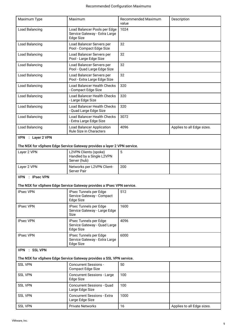| Maximum Type                                                         | Maximum                                                                           | Recommended Maximum | Description                |  |
|----------------------------------------------------------------------|-----------------------------------------------------------------------------------|---------------------|----------------------------|--|
|                                                                      |                                                                                   | value               |                            |  |
| Load Balancing                                                       | Load Balancer Pools per Edge<br>Service Gateway - Extra Large<br><b>Edge Size</b> | 1024                |                            |  |
| Load Balancing                                                       | Load Balancer Servers per<br>Pool - Compact Edge Size                             | 32                  |                            |  |
| Load Balancing                                                       | Load Balancer Servers per<br>Pool - Large Edge Size                               | 32                  |                            |  |
| Load Balancing                                                       | Load Balancer Servers per<br>Pool - Quad Large Edge Size                          | 32                  |                            |  |
| Load Balancing                                                       | Load Balancer Servers per<br>Pool - Extra Large Edge Size                         | 32                  |                            |  |
| Load Balancing                                                       | Load Balancer Health Checks<br>- Compact Edge Size                                | 320                 |                            |  |
| Load Balancing                                                       | Load Balancer Health Checks<br>- Large Edge Size                                  | 320                 |                            |  |
| Load Balancing                                                       | Load Balancer Health Checks<br>- Quad Large Edge Size                             | 320                 |                            |  |
| Load Balancing                                                       | <b>Load Balancer Health Checks</b><br>- Extra Large Edge Size                     | 3072                |                            |  |
| Load Balancing                                                       | <b>Load Balancer Application</b><br>Rule Size in Characters                       | 4096                | Applies to all Edge sizes. |  |
| VPN : Layer 2 VPN                                                    |                                                                                   |                     |                            |  |
|                                                                      | The NSX for vSphere Edge Service Gateway provides a layer 2 VPN service.          |                     |                            |  |
| Layer 2 VPN                                                          | L2VPN Clients (spoke)<br>Handled by a Single L2VPN<br>Server (hub)                | 5                   |                            |  |
| Layer 2 VPN                                                          | Networks per L2VPN Client-<br><b>Server Pair</b>                                  | 200                 |                            |  |
| VPN : IPsec VPN                                                      | The NSX for vSphere Edge Service Gateway provides a IPsec VPN service.            |                     |                            |  |
|                                                                      |                                                                                   |                     |                            |  |
| <b>IPsec VPN</b>                                                     | IPsec Tunnels per Edge<br>Service Gateway - Compact<br>Edge Size                  | 512                 |                            |  |
| <b>IPsec VPN</b>                                                     | IPsec Tunnels per Edge<br>Service Gateway - Large Edge<br><b>Size</b>             | 1600                |                            |  |
| <b>IPsec VPN</b>                                                     | IPsec Tunnels per Edge<br>Service Gateway - Quad Large<br>Edge Size               | 4096                |                            |  |
| <b>IPsec VPN</b>                                                     | IPsec Tunnels per Edge<br>Service Gateway - Extra Large<br>Edge Size              | 6000                |                            |  |
| VPN : SSL VPN                                                        |                                                                                   |                     |                            |  |
| The NSX for vSphere Edge Service Gateway provides a SSL VPN service. |                                                                                   |                     |                            |  |
| <b>SSL VPN</b>                                                       | <b>Concurrent Sessions -</b><br>Compact Edge Size                                 | 50                  |                            |  |
| <b>SSL VPN</b>                                                       | <b>Concurrent Sessions - Large</b><br><b>Edge Size</b>                            | 100                 |                            |  |
| <b>SSL VPN</b>                                                       | <b>Concurrent Sessions - Quad</b><br>Large Edge Size                              | 100                 |                            |  |
| <b>SSL VPN</b>                                                       | <b>Concurrent Sessions - Extra</b><br>Large Edge Size                             | 1000                |                            |  |
| <b>SSL VPN</b>                                                       | <b>Private Networks</b>                                                           | 16                  | Applies to all Edge sizes. |  |